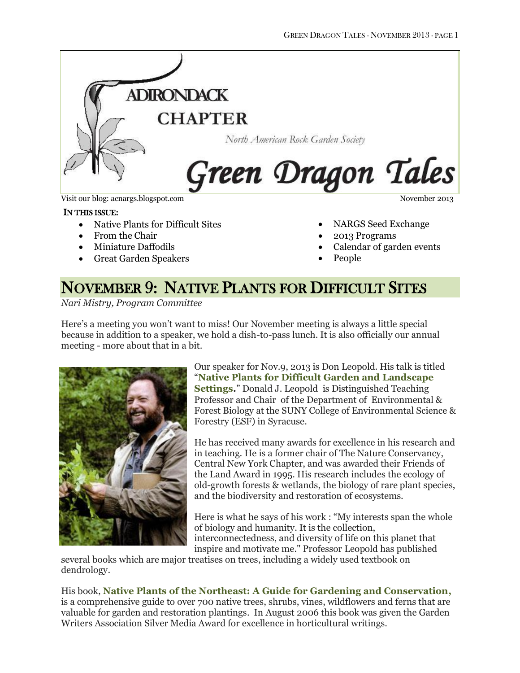

Visit our blog: acnargs.blogspot.com November 2013

#### IN THIS ISSUE:

- Native Plants for Difficult Sites
- From the Chair
- Miniature Daffodils
- Great Garden Speakers

- NARGS Seed Exchange
- 2013 Programs
- Calendar of garden events
- People

# NOVEMBER 9: NATIVE PLANTS FOR DIFFICULT SITES

*Nari Mistry, Program Committee*

Here's a meeting you won't want to miss! Our November meeting is always a little special because in addition to a speaker, we hold a dish-to-pass lunch. It is also officially our annual meeting - more about that in a bit.



Our speaker for Nov.9, 2013 is Don Leopold. His talk is titled "**Native Plants for Difficult Garden and Landscape Settings.**" Donald J. Leopold is Distinguished Teaching Professor and Chair of the Department of Environmental & Forest Biology at the SUNY College of Environmental Science & Forestry (ESF) in Syracuse.

He has received many awards for excellence in his research and in teaching. He is a former chair of The Nature Conservancy, Central New York Chapter, and was awarded their Friends of the Land Award in 1995. His research includes the ecology of old-growth forests & wetlands, the biology of rare plant species, and the biodiversity and restoration of ecosystems.

Here is what he says of his work : "My interests span the whole of biology and humanity. It is the collection, interconnectedness, and diversity of life on this planet that inspire and motivate me." Professor Leopold has published

several books which are major treatises on trees, including a widely used textbook on dendrology.

His book, **Native Plants of the Northeast: A Guide for Gardening and Conservation,** is a comprehensive guide to over 700 native trees, shrubs, vines, wildflowers and ferns that are valuable for garden and restoration plantings. In August 2006 this book was given the Garden Writers Association Silver Media Award for excellence in horticultural writings.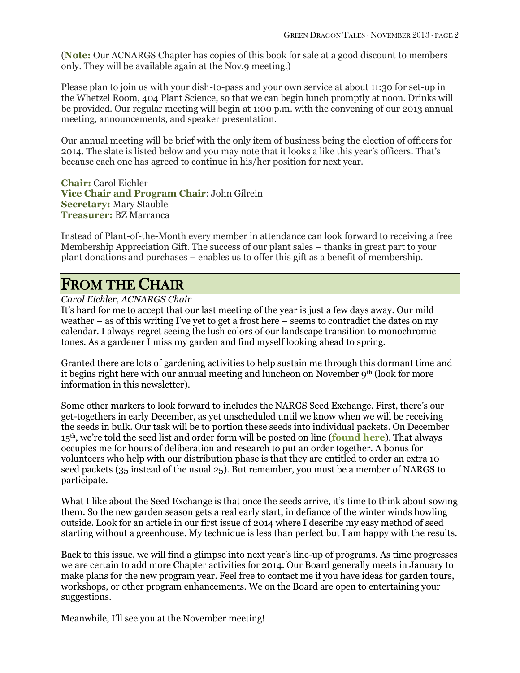(**Note:** Our ACNARGS Chapter has copies of this book for sale at a good discount to members only. They will be available again at the Nov.9 meeting.)

Please plan to join us with your dish-to-pass and your own service at about 11:30 for set-up in the Whetzel Room, 404 Plant Science, so that we can begin lunch promptly at noon. Drinks will be provided. Our regular meeting will begin at 1:00 p.m. with the convening of our 2013 annual meeting, announcements, and speaker presentation.

Our annual meeting will be brief with the only item of business being the election of officers for 2014. The slate is listed below and you may note that it looks a like this year's officers. That's because each one has agreed to continue in his/her position for next year.

**Chair:** Carol Eichler **Vice Chair and Program Chair**: John Gilrein **Secretary:** Mary Stauble **Treasurer:** BZ Marranca

Instead of Plant-of-the-Month every member in attendance can look forward to receiving a free Membership Appreciation Gift. The success of our plant sales – thanks in great part to your plant donations and purchases – enables us to offer this gift as a benefit of membership.

# FROM THE CHAIR

### *Carol Eichler, ACNARGS Chair*

It's hard for me to accept that our last meeting of the year is just a few days away. Our mild weather – as of this writing I've yet to get a frost here – seems to contradict the dates on my calendar. I always regret seeing the lush colors of our landscape transition to monochromic tones. As a gardener I miss my garden and find myself looking ahead to spring.

Granted there are lots of gardening activities to help sustain me through this dormant time and it begins right here with our annual meeting and luncheon on November 9<sup>th</sup> (look for more information in this newsletter).

Some other markers to look forward to includes the NARGS Seed Exchange. First, there's our get-togethers in early December, as yet unscheduled until we know when we will be receiving the seeds in bulk. Our task will be to portion these seeds into individual packets. On December 15th, we're told the seed list and order form will be posted on line (**[found here](https://www.nargs.org/seed-exchange)**). That always occupies me for hours of deliberation and research to put an order together. A bonus for volunteers who help with our distribution phase is that they are entitled to order an extra 10 seed packets (35 instead of the usual 25). But remember, you must be a member of NARGS to participate.

What I like about the Seed Exchange is that once the seeds arrive, it's time to think about sowing them. So the new garden season gets a real early start, in defiance of the winter winds howling outside. Look for an article in our first issue of 2014 where I describe my easy method of seed starting without a greenhouse. My technique is less than perfect but I am happy with the results.

Back to this issue, we will find a glimpse into next year's line-up of programs. As time progresses we are certain to add more Chapter activities for 2014. Our Board generally meets in January to make plans for the new program year. Feel free to contact me if you have ideas for garden tours, workshops, or other program enhancements. We on the Board are open to entertaining your suggestions.

Meanwhile, I'll see you at the November meeting!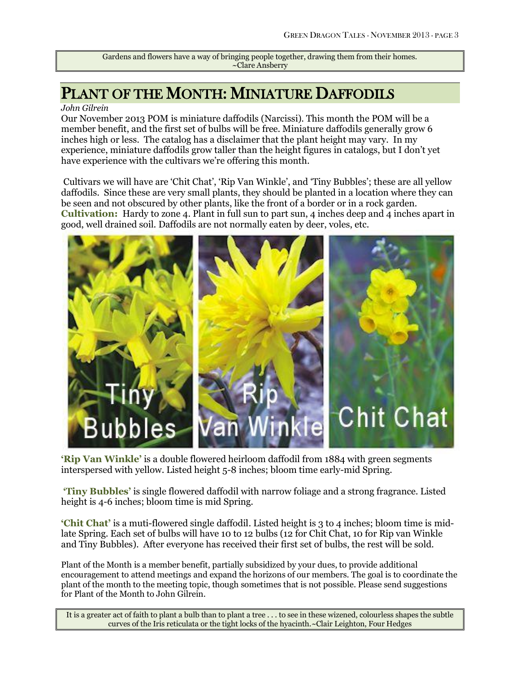Gardens and flowers have a way of bringing people together, drawing them from their homes. ~Clare Ansberry

# PLANT OF THE MONTH: MINIATURE DAFFODILS

#### *John Gilrein*

Our November 2013 POM is miniature daffodils (Narcissi). This month the POM will be a member benefit, and the first set of bulbs will be free. Miniature daffodils generally grow 6 inches high or less. The catalog has a disclaimer that the plant height may vary. In my experience, miniature daffodils grow taller than the height figures in catalogs, but I don't yet have experience with the cultivars we're offering this month.

Cultivars we will have are 'Chit Chat', 'Rip Van Winkle', and 'Tiny Bubbles'; these are all yellow daffodils. Since these are very small plants, they should be planted in a location where they can be seen and not obscured by other plants, like the front of a border or in a rock garden. **Cultivation:** Hardy to zone 4. Plant in full sun to part sun, 4 inches deep and 4 inches apart in good, well drained soil. Daffodils are not normally eaten by deer, voles, etc.



**'Rip Van Winkle'** is a double flowered heirloom daffodil from 1884 with green segments interspersed with yellow. Listed height 5-8 inches; bloom time early-mid Spring.

**'Tiny Bubbles'** is single flowered daffodil with narrow foliage and a strong fragrance. Listed height is 4-6 inches; bloom time is mid Spring.

**'Chit Chat'** is a muti-flowered single daffodil. Listed height is 3 to 4 inches; bloom time is midlate Spring. Each set of bulbs will have 10 to 12 bulbs (12 for Chit Chat, 10 for Rip van Winkle and Tiny Bubbles). After everyone has received their first set of bulbs, the rest will be sold.

Plant of the Month is a member benefit, partially subsidized by your dues, to provide additional encouragement to attend meetings and expand the horizons of our members. The goal is to coordinate the plant of the month to the meeting topic, though sometimes that is not possible. Please send suggestions for Plant of the Month to John Gilrein.

It is a greater act of faith to plant a bulb than to plant a tree . . . to see in these wizened, colourless shapes the subtle curves of the Iris reticulata or the tight locks of the hyacinth.~Clair Leighton, Four Hedges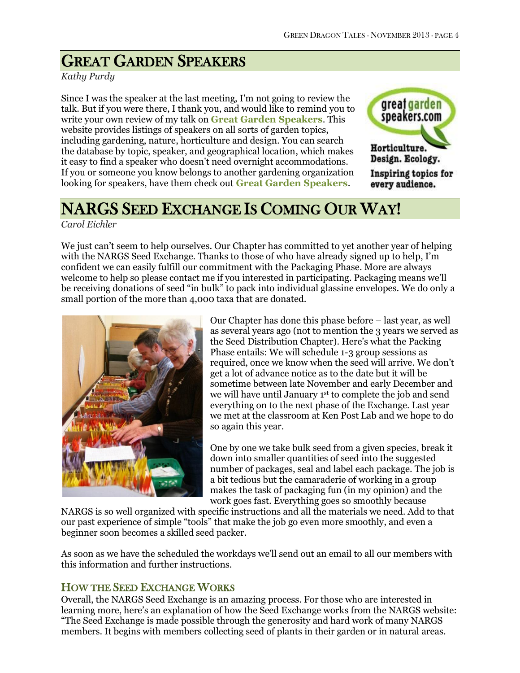# GREAT GARDEN SPEAKERS

## *Kathy Purdy*

Since I was the speaker at the last meeting, I'm not going to review the talk. But if you were there, I thank you, and would like to remind you to write your own review of my talk on **Great Garden [Speakers](http://greatgardenspeakers.com/listing/kathy-purdy.html)**. This website provides listings of speakers on all sorts of garden topics, including gardening, nature, horticulture and design. You can search the database by topic, speaker, and geographical location, which makes it easy to find a speaker who doesn't need overnight accommodations. If you or someone you know belongs to another gardening organization looking for speakers, have them check out **[Great Garden Speakers](http://greatgardenspeakers.com/index.php)**.



# NARGS SEED EXCHANGE IS COMING OUR WAY!

*Carol Eichler*

We just can't seem to help ourselves. Our Chapter has committed to yet another year of helping with the NARGS Seed Exchange. Thanks to those of who have already signed up to help, I'm confident we can easily fulfill our commitment with the Packaging Phase. More are always welcome to help so please contact me if you interested in participating. Packaging means we'll be receiving donations of seed "in bulk" to pack into individual glassine envelopes. We do only a small portion of the more than 4,000 taxa that are donated.



Our Chapter has done this phase before – last year, as well as several years ago (not to mention the 3 years we served as the Seed Distribution Chapter). Here's what the Packing Phase entails: We will schedule 1-3 group sessions as required, once we know when the seed will arrive. We don't get a lot of advance notice as to the date but it will be sometime between late November and early December and we will have until January 1st to complete the job and send everything on to the next phase of the Exchange. Last year we met at the classroom at Ken Post Lab and we hope to do so again this year.

One by one we take bulk seed from a given species, break it down into smaller quantities of seed into the suggested number of packages, seal and label each package. The job is a bit tedious but the camaraderie of working in a group makes the task of packaging fun (in my opinion) and the work goes fast. Everything goes so smoothly because

NARGS is so well organized with specific instructions and all the materials we need. Add to that our past experience of simple "tools" that make the job go even more smoothly, and even a beginner soon becomes a skilled seed packer.

As soon as we have the scheduled the workdays we'll send out an email to all our members with this information and further instructions.

## HOW THE SEED EXCHANGE WORKS

Overall, the NARGS Seed Exchange is an amazing process. For those who are interested in learning more, here's an explanation of how the Seed Exchange works from the NARGS website: "The Seed Exchange is made possible through the generosity and hard work of many NARGS members. It begins with members collecting seed of plants in their garden or in natural areas.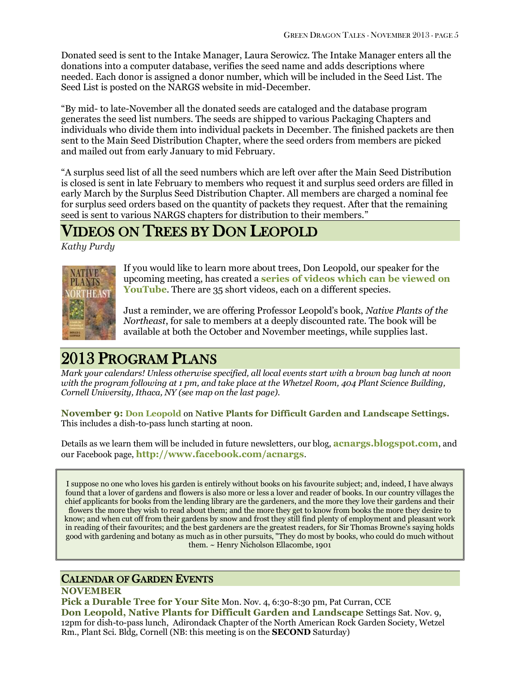Donated seed is sent to the Intake Manager, Laura Serowicz. The Intake Manager enters all the donations into a computer database, verifies the seed name and adds descriptions where needed. Each donor is assigned a donor number, which will be included in the Seed List. The Seed List is posted on the NARGS website in mid-December.

"By mid- to late-November all the donated seeds are cataloged and the database program generates the seed list numbers. The seeds are shipped to various Packaging Chapters and individuals who divide them into individual packets in December. The finished packets are then sent to the Main Seed Distribution Chapter, where the seed orders from members are picked and mailed out from early January to mid February.

"A surplus seed list of all the seed numbers which are left over after the Main Seed Distribution is closed is sent in late February to members who request it and surplus seed orders are filled in early March by the Surplus Seed Distribution Chapter. All members are charged a nominal fee for surplus seed orders based on the quantity of packets they request. After that the remaining seed is sent to various NARGS chapters for distribution to their members."

# VIDEOS ON TREES BY DON LEOPOLD

*Kathy Purdy*



If you would like to learn more about trees, Don Leopold, our speaker for the upcoming meeting, has created a **[series of videos which can be](http://www.youtube.com/watch?v=wOZzcyhsiRM&list=PLBE1197A3397CAE00) viewed on**  [YouTube](http://www.youtube.com/watch?v=wOZzcyhsiRM&list=PLBE1197A3397CAE00). There are 35 short videos, each on a different species.

Just a reminder, we are offering Professor Leopold's book, *Native Plants of the Northeast*, for sale to members at a deeply discounted rate. The book will be available at both the October and November meetings, while supplies last.

# 2013 PROGRAM PLANS

*Mark your calendars! Unless otherwise specified, all local events start with a brown bag lunch at noon with the program following at 1 pm, and take place at the Whetzel Room, 404 Plant Science Building, Cornell University, Ithaca, NY (see map on the last page).*

**November 9: [Don Leopold](http://www.timberpress.com/speakers/author?id=61)** on **Native Plants for Difficult Garden and Landscape Settings.**  This includes a dish-to-pass lunch starting at noon.

Details as we learn them will be included in future newsletters, our blog, **[acnargs.blogspot.com](http://acnargs.blogspot.com/)**, and our Facebook page, **[http://www.facebook.com/acnargs](http://acnargs.blogspot.com/)**.

I suppose no one who loves his garden is entirely without books on his favourite subject; and, indeed, I have always found that a lover of gardens and flowers is also more or less a lover and reader of books. In our country villages the chief applicants for books from the lending library are the gardeners, and the more they love their gardens and their flowers the more they wish to read about them; and the more they get to know from books the more they desire to know; and when cut off from their gardens by snow and frost they still find plenty of employment and pleasant work in reading of their favourites; and the best gardeners are the greatest readers, for Sir Thomas Browne's saying holds good with gardening and botany as much as in other pursuits, "They do most by books, who could do much without them. ~ Henry Nicholson Ellacombe, 1901

## CALENDAR OF GARDEN EVENTS

### **NOVEMBER**

**Pick a Durable Tree for Your Site** Mon. Nov. 4, 6:30-8:30 pm, Pat Curran, CCE **Don Leopold, Native Plants for Difficult Garden and Landscape** Settings Sat. Nov. 9, 12pm for dish-to-pass lunch, Adirondack Chapter of the North American Rock Garden Society, Wetzel Rm., Plant Sci. Bldg, Cornell (NB: this meeting is on the **SECOND** Saturday)